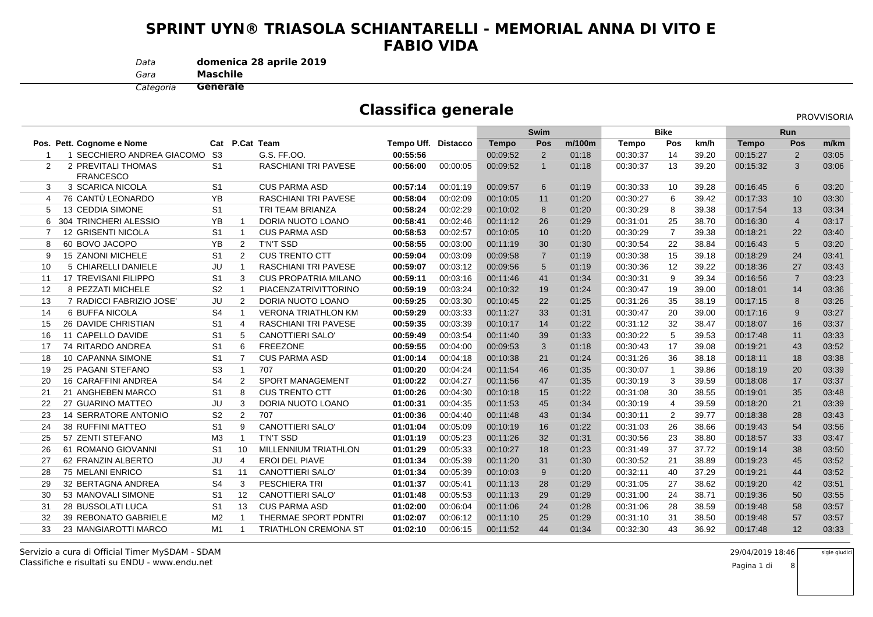### **SPRINT UYN® TRIASOLA SCHIANTARELLI - MEMORIAL ANNA DI VITO EFABIO VIDA**

*Data***domenica 28 aprile 2019**

**Maschile**

*Gara*

 **Generale***Categoria*

### **Classifica generale**

PROVVISORIA

|                |                                        |                |                |                             |                     |          | <b>Swim</b>  |                 | <b>Bike</b> |          |                | Run   |              |                 |       |
|----------------|----------------------------------------|----------------|----------------|-----------------------------|---------------------|----------|--------------|-----------------|-------------|----------|----------------|-------|--------------|-----------------|-------|
|                | Pos. Pett. Cognome e Nome              |                |                | Cat P.Cat Team              | Tempo Uff. Distacco |          | <b>Tempo</b> | Pos             | m/100m      | Tempo    | Pos            | km/h  | <b>Tempo</b> | Pos             | m/km  |
|                | 1 SECCHIERO ANDREA GIACOMO S3          |                |                | G.S. FF.OO.                 | 00:55:56            |          | 00:09:52     | 2               | 01:18       | 00:30:37 | 14             | 39.20 | 00:15:27     | $\overline{2}$  | 03:05 |
| $\overline{2}$ | 2 PREVITALI THOMAS<br><b>FRANCESCO</b> | S <sub>1</sub> |                | <b>RASCHIANI TRI PAVESE</b> | 00:56:00            | 00:00:05 | 00:09:52     | $\overline{1}$  | 01:18       | 00:30:37 | 13             | 39.20 | 00:15:32     | 3               | 03:06 |
| 3              | 3 SCARICA NICOLA                       | S <sub>1</sub> |                | <b>CUS PARMA ASD</b>        | 00:57:14            | 00:01:19 | 00:09:57     | 6               | 01:19       | 00:30:33 | 10             | 39.28 | 00:16:45     | 6               | 03:20 |
| $\overline{4}$ | 76 CANTÙ LEONARDO                      | YB             |                | <b>RASCHIANI TRI PAVESE</b> | 00:58:04            | 00:02:09 | 00:10:05     | 11              | 01:20       | 00:30:27 | 6              | 39.42 | 00:17:33     | 10              | 03:30 |
| 5              | <b>13 CEDDIA SIMONE</b>                | S <sub>1</sub> |                | <b>TRI TEAM BRIANZA</b>     | 00:58:24            | 00:02:29 | 00:10:02     | 8               | 01:20       | 00:30:29 | 8              | 39.38 | 00:17:54     | 13              | 03:34 |
| 6              | 304 TRINCHERI ALESSIO                  | <b>YB</b>      | $\mathbf{1}$   | DORIA NUOTO LOANO           | 00:58:41            | 00:02:46 | 00:11:12     | 26              | 01:29       | 00:31:01 | 25             | 38.70 | 00:16:30     | $\overline{4}$  | 03:17 |
| 7              | <b>12 GRISENTI NICOLA</b>              | S <sub>1</sub> | 1              | <b>CUS PARMA ASD</b>        | 00:58:53            | 00:02:57 | 00:10:05     | 10 <sup>1</sup> | 01:20       | 00:30:29 | $\overline{7}$ | 39.38 | 00:18:21     | 22              | 03:40 |
| 8              | 60 BOVO JACOPO                         | <b>YB</b>      | 2              | <b>T'N'T SSD</b>            | 00:58:55            | 00:03:00 | 00:11:19     | 30              | 01:30       | 00:30:54 | 22             | 38.84 | 00:16:43     | $5\phantom{.0}$ | 03:20 |
| 9              | <b>15 ZANONI MICHELE</b>               | S <sub>1</sub> | $\overline{2}$ | <b>CUS TRENTO CTT</b>       | 00:59:04            | 00:03:09 | 00:09:58     | $\overline{7}$  | 01:19       | 00:30:38 | 15             | 39.18 | 00:18:29     | 24              | 03:41 |
| 10             | 5 CHIARELLI DANIELE                    | JU             | 1              | RASCHIANI TRI PAVESE        | 00:59:07            | 00:03:12 | 00:09:56     | $5\overline{)}$ | 01:19       | 00:30:36 | 12             | 39.22 | 00:18:36     | 27              | 03:43 |
| 11             | <b>17 TREVISANI FILIPPO</b>            | S <sub>1</sub> | 3              | <b>CUS PROPATRIA MILANO</b> | 00:59:11            | 00:03:16 | 00:11:46     | 41              | 01:34       | 00:30:31 | 9              | 39.34 | 00:16:56     | $\overline{7}$  | 03:23 |
| 12             | 8 PEZZATI MICHELE                      | S <sub>2</sub> | $\mathbf{1}$   | PIACENZATRIVITTORINO        | 00:59:19            | 00:03:24 | 00:10:32     | 19              | 01:24       | 00:30:47 | 19             | 39.00 | 00:18:01     | 14              | 03:36 |
| 13             | 7 RADICCI FABRIZIO JOSE'               | JU             | $\overline{2}$ | DORIA NUOTO LOANO           | 00:59:25            | 00:03:30 | 00:10:45     | 22              | 01:25       | 00:31:26 | 35             | 38.19 | 00:17:15     | 8               | 03:26 |
| 14             | 6 BUFFA NICOLA                         | S <sub>4</sub> | $\mathbf{1}$   | <b>VERONA TRIATHLON KM</b>  | 00:59:29            | 00:03:33 | 00:11:27     | 33              | 01:31       | 00:30:47 | 20             | 39.00 | 00:17:16     | 9               | 03:27 |
| 15             | <b>26 DAVIDE CHRISTIAN</b>             | S <sub>1</sub> | 4              | <b>RASCHIANI TRI PAVESE</b> | 00:59:35            | 00:03:39 | 00:10:17     | 14              | 01:22       | 00:31:12 | 32             | 38.47 | 00:18:07     | 16              | 03:37 |
| 16             | 11 CAPELLO DAVIDE                      | S <sub>1</sub> | 5              | <b>CANOTTIERI SALO</b>      | 00:59:49            | 00:03:54 | 00:11:40     | 39              | 01:33       | 00:30:22 | 5              | 39.53 | 00:17:48     | 11              | 03:33 |
| 17             | 74 RITARDO ANDREA                      | S <sub>1</sub> | 6              | <b>FREEZONE</b>             | 00:59:55            | 00:04:00 | 00:09:53     | 3               | 01:18       | 00:30:43 | 17             | 39.08 | 00:19:21     | 43              | 03:52 |
| 18             | 10 CAPANNA SIMONE                      | S <sub>1</sub> | $\overline{7}$ | <b>CUS PARMA ASD</b>        | 01:00:14            | 00:04:18 | 00:10:38     | 21              | 01:24       | 00:31:26 | 36             | 38.18 | 00:18:11     | 18              | 03:38 |
| 19             | 25 PAGANI STEFANO                      | S <sub>3</sub> | $\mathbf{1}$   | 707                         | 01:00:20            | 00:04:24 | 00:11:54     | 46              | 01:35       | 00:30:07 | $\mathbf{1}$   | 39.86 | 00:18:19     | 20              | 03:39 |
| 20             | 16 CARAFFINI ANDREA                    | S <sub>4</sub> | $\overline{2}$ | <b>SPORT MANAGEMENT</b>     | 01:00:22            | 00:04:27 | 00:11:56     | 47              | 01:35       | 00:30:19 | 3              | 39.59 | 00:18:08     | 17              | 03:37 |
| 21             | 21 ANGHEBEN MARCO                      | S <sub>1</sub> | 8              | <b>CUS TRENTO CTT</b>       | 01:00:26            | 00:04:30 | 00:10:18     | 15              | 01:22       | 00:31:08 | 30             | 38.55 | 00:19:01     | 35              | 03:48 |
| 22             | 27 GUARINO MATTEO                      | JU             | 3              | DORIA NUOTO LOANO           | 01:00:31            | 00:04:35 | 00:11:53     | 45              | 01:34       | 00:30:19 | 4              | 39.59 | 00:18:20     | 21              | 03:39 |
| 23             | <b>14 SERRATORE ANTONIO</b>            | S <sub>2</sub> | 2              | 707                         | 01:00:36            | 00:04:40 | 00:11:48     | 43              | 01:34       | 00:30:11 | $\overline{2}$ | 39.77 | 00:18:38     | 28              | 03:43 |
| 24             | <b>38 RUFFINI MATTEO</b>               | S <sub>1</sub> | 9              | <b>CANOTTIERI SALO'</b>     | 01:01:04            | 00:05:09 | 00:10:19     | 16              | 01:22       | 00:31:03 | 26             | 38.66 | 00:19:43     | 54              | 03:56 |
| 25             | 57 ZENTI STEFANO                       | M <sub>3</sub> | $\mathbf 1$    | <b>T'N'T SSD</b>            | 01:01:19            | 00:05:23 | 00:11:26     | 32              | 01:31       | 00:30:56 | 23             | 38.80 | 00:18:57     | 33              | 03:47 |
| 26             | 61 ROMANO GIOVANNI                     | S <sub>1</sub> | 10             | <b>MILLENNIUM TRIATHLON</b> | 01:01:29            | 00:05:33 | 00:10:27     | 18              | 01:23       | 00:31:49 | 37             | 37.72 | 00:19:14     | 38              | 03:50 |
| 27             | 62 FRANZIN ALBERTO                     | JU             | 4              | <b>EROI DEL PIAVE</b>       | 01:01:34            | 00:05:39 | 00:11:20     | 31              | 01:30       | 00:30:52 | 21             | 38.89 | 00:19:23     | 45              | 03:52 |
| 28             | <b>75 MELANI ENRICO</b>                | S1             | 11             | <b>CANOTTIERI SALO'</b>     | 01:01:34            | 00:05:39 | 00:10:03     | 9               | 01:20       | 00:32:11 | 40             | 37.29 | 00:19:21     | 44              | 03:52 |
| 29             | 32 BERTAGNA ANDREA                     | S <sub>4</sub> | 3              | PESCHIERA TRI               | 01:01:37            | 00:05:41 | 00:11:13     | 28              | 01:29       | 00:31:05 | 27             | 38.62 | 00:19:20     | 42              | 03:51 |
| 30             | 53 MANOVALI SIMONE                     | S <sub>1</sub> | 12             | CANOTTIERI SALO'            | 01:01:48            | 00:05:53 | 00:11:13     | 29              | 01:29       | 00:31:00 | 24             | 38.71 | 00:19:36     | 50              | 03:55 |
| 31             | 28 BUSSOLATI LUCA                      | S <sub>1</sub> | 13             | <b>CUS PARMA ASD</b>        | 01:02:00            | 00:06:04 | 00:11:06     | 24              | 01:28       | 00:31:06 | 28             | 38.59 | 00:19:48     | 58              | 03:57 |
| 32             | 39 REBONATO GABRIELE                   | M <sub>2</sub> |                | THERMAE SPORT PDNTRI        | 01:02:07            | 00:06:12 | 00:11:10     | 25              | 01:29       | 00:31:10 | 31             | 38.50 | 00:19:48     | 57              | 03:57 |
| 33             | 23 MANGIAROTTI MARCO                   | M1             | -1             | <b>TRIATHLON CREMONA ST</b> | 01:02:10            | 00:06:15 | 00:11:52     | 44              | 01:34       | 00:32:30 | 43             | 36.92 | 00:17:48     | 12              | 03:33 |
|                |                                        |                |                |                             |                     |          |              |                 |             |          |                |       |              |                 |       |

Classifiche e risultati su ENDU - www.endu.netServizio a cura di Official Timer MySDAM - SDAM

 29/04/2019 18:46 sigle giudici

8

Pagina 1 di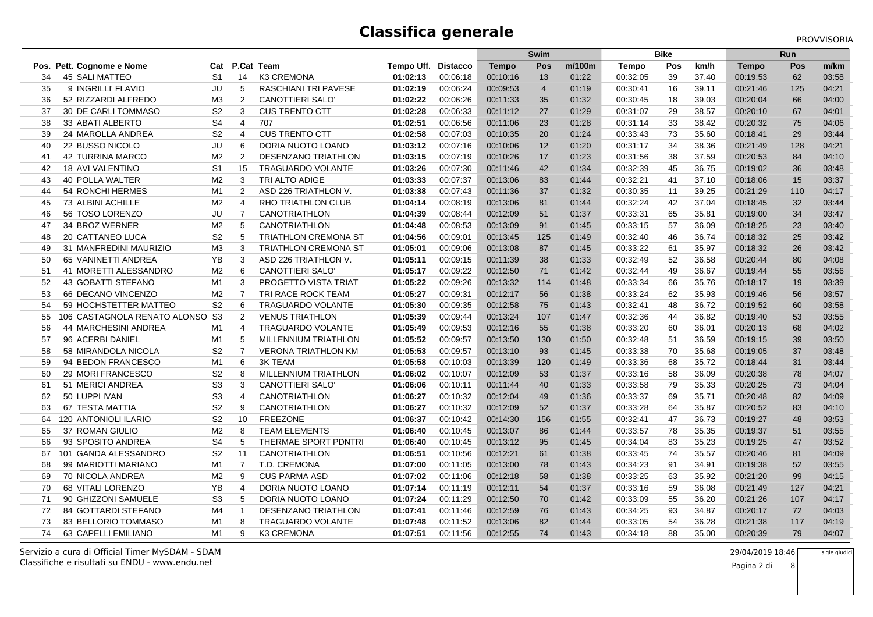PROVVISORIA

|    |                                 |                |                |                             |            |                 | <b>Swim</b>  |                | <b>Bike</b> |              |     | Run   |              |     |       |
|----|---------------------------------|----------------|----------------|-----------------------------|------------|-----------------|--------------|----------------|-------------|--------------|-----|-------|--------------|-----|-------|
|    | Pos. Pett. Cognome e Nome       | Cat            |                | P.Cat Team                  | Tempo Uff. | <b>Distacco</b> | <b>Tempo</b> | Pos            | m/100m      | <b>Tempo</b> | Pos | km/h  | <b>Tempo</b> | Pos | m/km  |
| 34 | <b>45 SALI MATTEO</b>           | S <sub>1</sub> | 14             | K3 CREMONA                  | 01:02:13   | 00:06:18        | 00:10:16     | 13             | 01:22       | 00:32:05     | 39  | 37.40 | 00:19:53     | 62  | 03:58 |
| 35 | 9 INGRILLI' FLAVIO              | JU             | 5              | RASCHIANI TRI PAVESE        | 01:02:19   | 00:06:24        | 00:09:53     | $\overline{4}$ | 01:19       | 00:30:41     | 16  | 39.11 | 00:21:46     | 125 | 04:21 |
| 36 | 52 RIZZARDI ALFREDO             | M <sub>3</sub> | $\overline{2}$ | <b>CANOTTIERI SALO</b>      | 01:02:22   | 00:06:26        | 00:11:33     | 35             | 01:32       | 00:30:45     | 18  | 39.03 | 00:20:04     | 66  | 04:00 |
| 37 | 30 DE CARLI TOMMASO             | S <sub>2</sub> | 3              | <b>CUS TRENTO CTT</b>       | 01:02:28   | 00:06:33        | 00:11:12     | 27             | 01:29       | 00:31:07     | 29  | 38.57 | 00:20:10     | 67  | 04:01 |
| 38 | 33 ABATI ALBERTO                | S4             | $\overline{4}$ | 707                         | 01:02:51   | 00:06:56        | 00:11:06     | 23             | 01:28       | 00:31:14     | 33  | 38.42 | 00:20:32     | 75  | 04:06 |
| 39 | 24 MAROLLA ANDREA               | S <sub>2</sub> | $\overline{4}$ | <b>CUS TRENTO CTT</b>       | 01:02:58   | 00:07:03        | 00:10:35     | 20             | 01:24       | 00:33:43     | 73  | 35.60 | 00:18:41     | 29  | 03:44 |
| 40 | 22 BUSSO NICOLO                 | JU             | 6              | DORIA NUOTO LOANO           | 01:03:12   | 00:07:16        | 00:10:06     | 12             | 01:20       | 00:31:17     | 34  | 38.36 | 00:21:49     | 128 | 04:21 |
| 41 | <b>42 TURRINA MARCO</b>         | M <sub>2</sub> | $\overline{2}$ | <b>DESENZANO TRIATHLON</b>  | 01:03:15   | 00:07:19        | 00:10:26     | 17             | 01:23       | 00:31:56     | 38  | 37.59 | 00:20:53     | 84  | 04:10 |
| 42 | 18 AVI VALENTINO                | S <sub>1</sub> | 15             | <b>TRAGUARDO VOLANTE</b>    | 01:03:26   | 00:07:30        | 00:11:46     | 42             | 01:34       | 00:32:39     | 45  | 36.75 | 00:19:02     | 36  | 03:48 |
| 43 | 40 POLLA WALTER                 | M <sub>2</sub> | 3              | TRI ALTO ADIGE              | 01:03:33   | 00:07:37        | 00:13:06     | 83             | 01:44       | 00:32:21     | 41  | 37.10 | 00:18:06     | 15  | 03:37 |
| 44 | 54 RONCHI HERMES                | M1             | $\overline{2}$ | ASD 226 TRIATHLON V.        | 01:03:38   | 00:07:43        | 00:11:36     | 37             | 01:32       | 00:30:35     | 11  | 39.25 | 00:21:29     | 110 | 04:17 |
| 45 | 73 ALBINI ACHILLE               | M <sub>2</sub> | $\overline{4}$ | RHO TRIATHLON CLUB          | 01:04:14   | 00:08:19        | 00:13:06     | 81             | 01:44       | 00:32:24     | 42  | 37.04 | 00:18:45     | 32  | 03:44 |
| 46 | 56 TOSO LORENZO                 | JU             | $\overline{7}$ | CANOTRIATHLON               | 01:04:39   | 00:08:44        | 00:12:09     | 51             | 01:37       | 00:33:31     | 65  | 35.81 | 00:19:00     | 34  | 03:47 |
| 47 | 34 BROZ WERNER                  | M <sub>2</sub> | 5              | CANOTRIATHLON               | 01:04:48   | 00:08:53        | 00:13:09     | 91             | 01:45       | 00:33:15     | 57  | 36.09 | 00:18:25     | 23  | 03:40 |
| 48 | <b>20 CATTANEO LUCA</b>         | S <sub>2</sub> | 5              | <b>TRIATHLON CREMONA ST</b> | 01:04:56   | 00:09:01        | 00:13:45     | 125            | 01:49       | 00:32:40     | 46  | 36.74 | 00:18:32     | 25  | 03:42 |
| 49 | 31 MANFREDINI MAURIZIO          | M <sub>3</sub> | 3              | <b>TRIATHLON CREMONA ST</b> | 01:05:01   | 00:09:06        | 00:13:08     | 87             | 01:45       | 00:33:22     | 61  | 35.97 | 00:18:32     | 26  | 03:42 |
| 50 | 65 VANINETTI ANDREA             | YB             | 3              | ASD 226 TRIATHLON V.        | 01:05:11   | 00:09:15        | 00:11:39     | 38             | 01:33       | 00:32:49     | 52  | 36.58 | 00:20:44     | 80  | 04:08 |
| 51 | 41 MORETTI ALESSANDRO           | M <sub>2</sub> | 6              | <b>CANOTTIERI SALO</b>      | 01:05:17   | 00:09:22        | 00:12:50     | 71             | 01:42       | 00:32:44     | 49  | 36.67 | 00:19:44     | 55  | 03:56 |
| 52 | 43 GOBATTI STEFANO              | M1             | 3              | PROGETTO VISTA TRIAT        | 01:05:22   | 00:09:26        | 00:13:32     | 114            | 01:48       | 00:33:34     | 66  | 35.76 | 00:18:17     | 19  | 03:39 |
| 53 | 66 DECANO VINCENZO              | M <sub>2</sub> | $\overline{7}$ | TRI RACE ROCK TEAM          | 01:05:27   | 00:09:31        | 00:12:17     | 56             | 01:38       | 00:33:24     | 62  | 35.93 | 00:19:46     | 56  | 03:57 |
| 54 | 59 HOCHSTETTER MATTEO           | S <sub>2</sub> | 6              | <b>TRAGUARDO VOLANTE</b>    | 01:05:30   | 00:09:35        | 00:12:58     | 75             | 01:43       | 00:32:41     | 48  | 36.72 | 00:19:52     | 60  | 03:58 |
| 55 | 106 CASTAGNOLA RENATO ALONSO S3 |                | 2              | <b>VENUS TRIATHLON</b>      | 01:05:39   | 00:09:44        | 00:13:24     | 107            | 01:47       | 00:32:36     | 44  | 36.82 | 00:19:40     | 53  | 03:55 |
| 56 | 44 MARCHESINI ANDREA            | M1             | 4              | <b>TRAGUARDO VOLANTE</b>    | 01:05:49   | 00:09:53        | 00:12:16     | 55             | 01:38       | 00:33:20     | 60  | 36.01 | 00:20:13     | 68  | 04:02 |
| 57 | 96 ACERBI DANIEL                | M <sub>1</sub> | 5              | MILLENNIUM TRIATHLON        | 01:05:52   | 00:09:57        | 00:13:50     | 130            | 01:50       | 00:32:48     | 51  | 36.59 | 00:19:15     | 39  | 03:50 |
| 58 | 58 MIRANDOLA NICOLA             | S <sub>2</sub> | $\overline{7}$ | <b>VERONA TRIATHLON KM</b>  | 01:05:53   | 00:09:57        | 00:13:10     | 93             | 01:45       | 00:33:38     | 70  | 35.68 | 00:19:05     | 37  | 03:48 |
| 59 | 94 BEDON FRANCESCO              | M1             | 6              | <b>3K TEAM</b>              | 01:05:58   | 00:10:03        | 00:13:39     | 120            | 01:49       | 00:33:36     | 68  | 35.72 | 00:18:44     | 31  | 03:44 |
| 60 | 29 MORI FRANCESCO               | S <sub>2</sub> | 8              | MILLENNIUM TRIATHLON        | 01:06:02   | 00:10:07        | 00:12:09     | 53             | 01:37       | 00:33:16     | 58  | 36.09 | 00:20:38     | 78  | 04:07 |
| 61 | 51 MERICI ANDREA                | S <sub>3</sub> | 3              | <b>CANOTTIERI SALO</b>      | 01:06:06   | 00:10:11        | 00:11:44     | 40             | 01:33       | 00:33:58     | 79  | 35.33 | 00:20:25     | 73  | 04:04 |
| 62 | 50 LUPPI IVAN                   | S <sub>3</sub> | $\overline{4}$ | <b>CANOTRIATHLON</b>        | 01:06:27   | 00:10:32        | 00:12:04     | 49             | 01:36       | 00:33:37     | 69  | 35.71 | 00:20:48     | 82  | 04:09 |
| 63 | 67 TESTA MATTIA                 | S <sub>2</sub> | 9              | <b>CANOTRIATHLON</b>        | 01:06:27   | 00:10:32        | 00:12:09     | 52             | 01:37       | 00:33:28     | 64  | 35.87 | 00:20:52     | 83  | 04:10 |
| 64 | 120 ANTONIOLI ILARIO            | S <sub>2</sub> | 10             | <b>FREEZONE</b>             | 01:06:37   | 00:10:42        | 00:14:30     | 156            | 01:55       | 00:32:41     | 47  | 36.73 | 00:19:27     | 48  | 03:53 |
| 65 | <b>37 ROMAN GIULIO</b>          | M <sub>2</sub> | 8              | <b>TEAM ELEMENTS</b>        | 01:06:40   | 00:10:45        | 00:13:07     | 86             | 01:44       | 00:33:57     | 78  | 35.35 | 00:19:37     | 51  | 03:55 |
| 66 | 93 SPOSITO ANDREA               | S <sub>4</sub> | 5              | THERMAE SPORT PDNTRI        | 01:06:40   | 00:10:45        | 00:13:12     | 95             | 01:45       | 00:34:04     | 83  | 35.23 | 00:19:25     | 47  | 03:52 |
| 67 | 101 GANDA ALESSANDRO            | S <sub>2</sub> | 11             | CANOTRIATHLON               | 01:06:51   | 00:10:56        | 00:12:21     | 61             | 01:38       | 00:33:45     | 74  | 35.57 | 00:20:46     | 81  | 04:09 |
| 68 | 99 MARIOTTI MARIANO             | M1             | $\overline{7}$ | T.D. CREMONA                | 01:07:00   | 00:11:05        | 00:13:00     | 78             | 01:43       | 00:34:23     | 91  | 34.91 | 00:19:38     | 52  | 03:55 |
| 69 | 70 NICOLA ANDREA                | M <sub>2</sub> | 9              | <b>CUS PARMA ASD</b>        | 01:07:02   | 00:11:06        | 00:12:18     | 58             | 01:38       | 00:33:25     | 63  | 35.92 | 00:21:20     | 99  | 04:15 |
| 70 | 68 VITALI LORENZO               | YB             | $\overline{4}$ | DORIA NUOTO LOANO           | 01:07:14   | 00:11:19        | 00:12:11     | 54             | 01:37       | 00:33:16     | 59  | 36.08 | 00:21:49     | 127 | 04:21 |
| 71 | 90 GHIZZONI SAMUELE             | S <sub>3</sub> | 5              | DORIA NUOTO LOANO           | 01:07:24   | 00:11:29        | 00:12:50     | 70             | 01:42       | 00:33:09     | 55  | 36.20 | 00:21:26     | 107 | 04:17 |
| 72 | 84 GOTTARDI STEFANO             | M4             | $\overline{1}$ | DESENZANO TRIATHLON         | 01:07:41   | 00:11:46        | 00:12:59     | 76             | 01:43       | 00:34:25     | 93  | 34.87 | 00:20:17     | 72  | 04:03 |
| 73 | 83 BELLORIO TOMMASO             | M1             | 8              | <b>TRAGUARDO VOLANTE</b>    | 01:07:48   | 00:11:52        | 00:13:06     | 82             | 01:44       | 00:33:05     | 54  | 36.28 | 00:21:38     | 117 | 04:19 |
| 74 | 63 CAPELLI EMILIANO             | M1             | 9              | K3 CREMONA                  | 01:07:51   | 00:11:56        | 00:12:55     | 74             | 01:43       | 00:34:18     | 88  | 35.00 | 00:20:39     | 79  | 04:07 |

Classifiche e risultati su ENDU - www.endu.netServizio a cura di Official Timer MySDAM - SDAM

 29/04/2019 18:46 sigle giudici

8

Pagina 2 di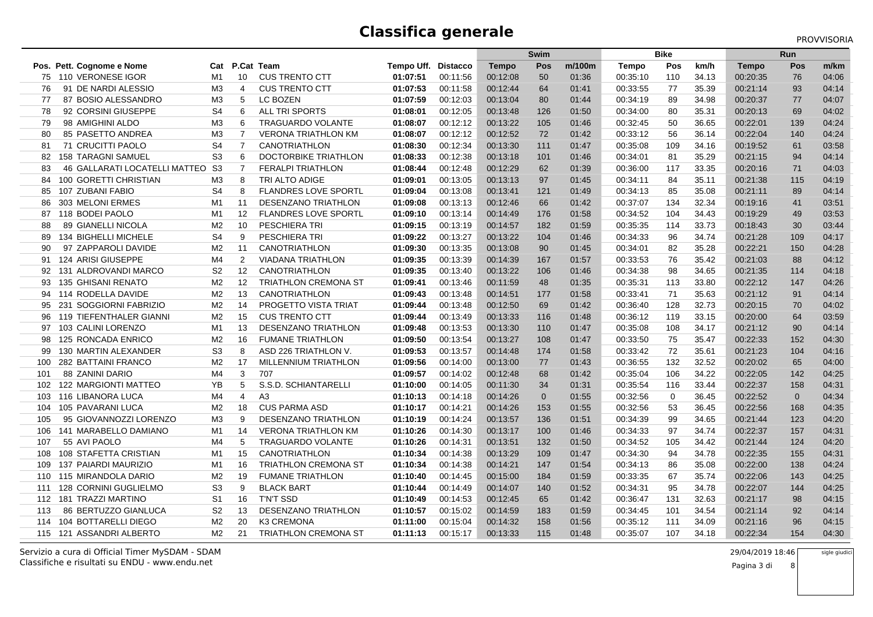PROVVISORIA

|     |                                  |                |                         |                             |            |                 | <b>Swim</b>  |                | <b>Bike</b> |              |             | <b>Run</b> |              |              |       |
|-----|----------------------------------|----------------|-------------------------|-----------------------------|------------|-----------------|--------------|----------------|-------------|--------------|-------------|------------|--------------|--------------|-------|
|     | Pos. Pett. Cognome e Nome        | Cat            |                         | P.Cat Team                  | Tempo Uff. | <b>Distacco</b> | <b>Tempo</b> | Pos            | m/100m      | <b>Tempo</b> | Pos         | km/h       | <b>Tempo</b> | Pos          | m/km  |
| 75  | 110 VERONESE IGOR                | M <sub>1</sub> | 10                      | <b>CUS TRENTO CTT</b>       | 01:07:51   | 00:11:56        | 00:12:08     | 50             | 01:36       | 00:35:10     | 110         | 34.13      | 00:20:35     | 76           | 04:06 |
| 76  | 91 DE NARDI ALESSIO              | M3             | $\overline{\mathbf{4}}$ | <b>CUS TRENTO CTT</b>       | 01:07:53   | 00:11:58        | 00:12:44     | 64             | 01:41       | 00:33:55     | 77          | 35.39      | 00:21:14     | 93           | 04:14 |
| 77  | 87 BOSIO ALESSANDRO              | M <sub>3</sub> | 5                       | <b>LC BOZEN</b>             | 01:07:59   | 00:12:03        | 00:13:04     | 80             | 01:44       | 00:34:19     | 89          | 34.98      | 00:20:37     | 77           | 04:07 |
| 78  | 92 CORSINI GIUSEPPE              | S <sub>4</sub> | 6                       | <b>ALL TRI SPORTS</b>       | 01:08:01   | 00:12:05        | 00:13:48     | 126            | 01:50       | 00:34:00     | 80          | 35.31      | 00:20:13     | 69           | 04:02 |
| 79  | 98 AMIGHINI ALDO                 | M3             | 6                       | <b>TRAGUARDO VOLANTE</b>    | 01:08:07   | 00:12:12        | 00:13:22     | 105            | 01:46       | 00:32:45     | 50          | 36.65      | 00:22:01     | 139          | 04:24 |
| 80  | 85 PASETTO ANDREA                | M <sub>3</sub> | $\overline{7}$          | <b>VERONA TRIATHLON KM</b>  | 01:08:07   | 00:12:12        | 00:12:52     | 72             | 01:42       | 00:33:12     | 56          | 36.14      | 00:22:04     | 140          | 04:24 |
| 81  | 71 CRUCITTI PAOLO                | S <sub>4</sub> | $\overline{7}$          | CANOTRIATHLON               | 01:08:30   | 00:12:34        | 00:13:30     | 111            | 01:47       | 00:35:08     | 109         | 34.16      | 00:19:52     | 61           | 03:58 |
| 82  | <b>158 TARAGNI SAMUEL</b>        | S <sub>3</sub> | 6                       | DOCTORBIKE TRIATHLON        | 01:08:33   | 00:12:38        | 00:13:18     | 101            | 01:46       | 00:34:01     | 81          | 35.29      | 00:21:15     | 94           | 04:14 |
| 83  | 46 GALLARATI LOCATELLI MATTEO S3 |                | $\overline{7}$          | <b>FERALPI TRIATHLON</b>    | 01:08:44   | 00:12:48        | 00:12:29     | 62             | 01:39       | 00:36:00     | 117         | 33.35      | 00:20:16     | 71           | 04:03 |
| 84  | 100 GORETTI CHRISTIAN            | M <sub>3</sub> | 8                       | TRI ALTO ADIGE              | 01:09:01   | 00:13:05        | 00:13:13     | 97             | 01:45       | 00:34:11     | 84          | 35.11      | 00:21:38     | 115          | 04:19 |
| 85  | 107 ZUBANI FABIO                 | S <sub>4</sub> | 8                       | <b>FLANDRES LOVE SPORTL</b> | 01:09:04   | 00:13:08        | 00:13:41     | 121            | 01:49       | 00:34:13     | 85          | 35.08      | 00:21:11     | 89           | 04:14 |
| 86  | 303 MELONI ERMES                 | M1             | 11                      | DESENZANO TRIATHLON         | 01:09:08   | 00:13:13        | 00:12:46     | 66             | 01:42       | 00:37:07     | 134         | 32.34      | 00:19:16     | 41           | 03:51 |
| 87  | 118 BODEI PAOLO                  | M <sub>1</sub> | 12                      | <b>FLANDRES LOVE SPORTL</b> | 01:09:10   | 00:13:14        | 00:14:49     | 176            | 01:58       | 00:34:52     | 104         | 34.43      | 00:19:29     | 49           | 03:53 |
| 88  | 89 GIANELLI NICOLA               | M <sub>2</sub> | 10                      | PESCHIERA TRI               | 01:09:15   | 00:13:19        | 00:14:57     | 182            | 01:59       | 00:35:35     | 114         | 33.73      | 00:18:43     | 30           | 03:44 |
| 89  | 134 BIGHELLI MICHELE             | S <sub>4</sub> | 9                       | PESCHIERA TRI               | 01:09:22   | 00:13:27        | 00:13:22     | 104            | 01:46       | 00:34:33     | 96          | 34.74      | 00:21:28     | 109          | 04:17 |
| 90  | 97 ZAPPAROLI DAVIDE              | M <sub>2</sub> | 11                      | <b>CANOTRIATHLON</b>        | 01:09:30   | 00:13:35        | 00:13:08     | 90             | 01:45       | 00:34:01     | 82          | 35.28      | 00:22:21     | 150          | 04:28 |
| 91  | 124 ARISI GIUSEPPE               | M4             | 2                       | <b>VIADANA TRIATHLON</b>    | 01:09:35   | 00:13:39        | 00:14:39     | 167            | 01:57       | 00:33:53     | 76          | 35.42      | 00:21:03     | 88           | 04:12 |
| 92  | 131 ALDROVANDI MARCO             | S <sub>2</sub> | 12                      | <b>CANOTRIATHLON</b>        | 01:09:35   | 00:13:40        | 00:13:22     | 106            | 01:46       | 00:34:38     | 98          | 34.65      | 00:21:35     | 114          | 04:18 |
| 93  | <b>135 GHISANI RENATO</b>        | M <sub>2</sub> | $12 \overline{ }$       | <b>TRIATHLON CREMONA ST</b> | 01:09:41   | 00:13:46        | 00:11:59     | 48             | 01:35       | 00:35:31     | 113         | 33.80      | 00:22:12     | 147          | 04:26 |
|     | 94 114 RODELLA DAVIDE            | M <sub>2</sub> | 13                      | CANOTRIATHLON               | 01:09:43   | 00:13:48        | 00:14:51     | 177            | 01:58       | 00:33:41     | 71          | 35.63      | 00:21:12     | 91           | 04:14 |
| 95  | 231 SOGGIORNI FABRIZIO           | M2             | 14                      | PROGETTO VISTA TRIAT        | 01:09:44   | 00:13:48        | 00:12:50     | 69             | 01:42       | 00:36:40     | 128         | 32.73      | 00:20:15     | 70           | 04:02 |
| 96  | 119 TIEFENTHALER GIANNI          | M <sub>2</sub> | 15                      | <b>CUS TRENTO CTT</b>       | 01:09:44   | 00:13:49        | 00:13:33     | 116            | 01:48       | 00:36:12     | 119         | 33.15      | 00:20:00     | 64           | 03:59 |
| 97  | 103 CALINI LORENZO               | M1             | 13                      | DESENZANO TRIATHLON         | 01:09:48   | 00:13:53        | 00:13:30     | 110            | 01:47       | 00:35:08     | 108         | 34.17      | 00:21:12     | 90           | 04:14 |
| 98  | 125 RONCADA ENRICO               | M <sub>2</sub> | 16                      | <b>FUMANE TRIATHLON</b>     | 01:09:50   | 00:13:54        | 00:13:27     | 108            | 01:47       | 00:33:50     | 75          | 35.47      | 00:22:33     | 152          | 04:30 |
| 99  | 130 MARTIN ALEXANDER             | S <sub>3</sub> | 8                       | ASD 226 TRIATHLON V.        | 01:09:53   | 00:13:57        | 00:14:48     | 174            | 01:58       | 00:33:42     | 72          | 35.61      | 00:21:23     | 104          | 04:16 |
| 100 | 282 BATTAINI FRANCO              | M <sub>2</sub> | 17                      | <b>MILLENNIUM TRIATHLON</b> | 01:09:56   | 00:14:00        | 00:13:00     | 77             | 01:43       | 00:36:55     | 132         | 32.52      | 00:20:02     | 65           | 04:00 |
| 101 | 88 ZANINI DARIO                  | M4             | 3                       | 707                         | 01:09:57   | 00:14:02        | 00:12:48     | 68             | 01:42       | 00:35:04     | 106         | 34.22      | 00:22:05     | 142          | 04:25 |
| 102 | <b>122 MARGIONTI MATTEO</b>      | <b>YB</b>      | 5                       | S.S.D. SCHIANTARELLI        | 01:10:00   | 00:14:05        | 00:11:30     | 34             | 01:31       | 00:35:54     | 116         | 33.44      | 00:22:37     | 158          | 04:31 |
| 103 | 116 LIBANORA LUCA                | M4             | $\overline{4}$          | A <sub>3</sub>              | 01:10:13   | 00:14:18        | 00:14:26     | $\overline{0}$ | 01:55       | 00:32:56     | $\mathbf 0$ | 36.45      | 00:22:52     | $\mathbf{0}$ | 04:34 |
| 104 | 105 PAVARANI LUCA                | M2             | 18                      | <b>CUS PARMA ASD</b>        | 01:10:17   | 00:14:21        | 00:14:26     | 153            | 01:55       | 00:32:56     | 53          | 36.45      | 00:22:56     | 168          | 04:35 |
| 105 | 95 GIOVANNOZZI LORENZO           | M <sub>3</sub> | 9                       | DESENZANO TRIATHLON         | 01:10:19   | 00:14:24        | 00:13:57     | 136            | 01:51       | 00:34:39     | 99          | 34.65      | 00:21:44     | 123          | 04:20 |
| 106 | 141 MARABELLO DAMIANO            | M1             | 14                      | <b>VERONA TRIATHLON KM</b>  | 01:10:26   | 00:14:30        | 00:13:17     | 100            | 01:46       | 00:34:33     | 97          | 34.74      | 00:22:37     | 157          | 04:31 |
| 107 | 55 AVI PAOLO                     | M4             | 5                       | <b>TRAGUARDO VOLANTE</b>    | 01:10:26   | 00:14:31        | 00:13:51     | 132            | 01:50       | 00:34:52     | 105         | 34.42      | 00:21:44     | 124          | 04:20 |
| 108 | 108 STAFETTA CRISTIAN            | M1             | 15                      | CANOTRIATHLON               | 01:10:34   | 00:14:38        | 00:13:29     | 109            | 01:47       | 00:34:30     | 94          | 34.78      | 00:22:35     | 155          | 04:31 |
| 109 | 137 PAIARDI MAURIZIO             | M <sub>1</sub> | 16                      | TRIATHLON CREMONA ST        | 01:10:34   | 00:14:38        | 00:14:21     | 147            | 01:54       | 00:34:13     | 86          | 35.08      | 00:22:00     | 138          | 04:24 |
| 110 | 115 MIRANDOLA DARIO              | M <sub>2</sub> | 19                      | <b>FUMANE TRIATHLON</b>     | 01:10:40   | 00:14:45        | 00:15:00     | 184            | 01:59       | 00:33:35     | 67          | 35.74      | 00:22:06     | 143          | 04:25 |
| 111 | 128 CORNINI GUGLIELMO            | S <sub>3</sub> | 9                       | <b>BLACK BART</b>           | 01:10:44   | 00:14:49        | 00:14:07     | 140            | 01:52       | 00:34:31     | 95          | 34.78      | 00:22:07     | 144          | 04:25 |
| 112 | 181 TRAZZI MARTINO               | S <sub>1</sub> | 16                      | <b>T'N'T SSD</b>            | 01:10:49   | 00:14:53        | 00:12:45     | 65             | 01:42       | 00:36:47     | 131         | 32.63      | 00:21:17     | 98           | 04:15 |
| 113 | 86 BERTUZZO GIANLUCA             | S <sub>2</sub> | 13                      | <b>DESENZANO TRIATHLON</b>  | 01:10:57   | 00:15:02        | 00:14:59     | 183            | 01:59       | 00:34:45     | 101         | 34.54      | 00:21:14     | 92           | 04:14 |
| 114 | <b>BOTTARELLI DIEGO</b><br>104   | M <sub>2</sub> | 20                      | K3 CREMONA                  | 01:11:00   | 00:15:04        | 00:14:32     | 158            | 01:56       | 00:35:12     | 111         | 34.09      | 00:21:16     | 96           | 04:15 |
|     | 115 121 ASSANDRI ALBERTO         | M <sub>2</sub> | 21                      | <b>TRIATHLON CREMONA ST</b> | 01:11:13   | 00:15:17        | 00:13:33     | 115            | 01:48       | 00:35:07     | 107         | 34.18      | 00:22:34     | 154          | 04:30 |

Classifiche e risultati su ENDU - www.endu.netServizio a cura di Official Timer MySDAM - SDAM

 29/04/2019 18:46 sigle giudici

8

Pagina 3 di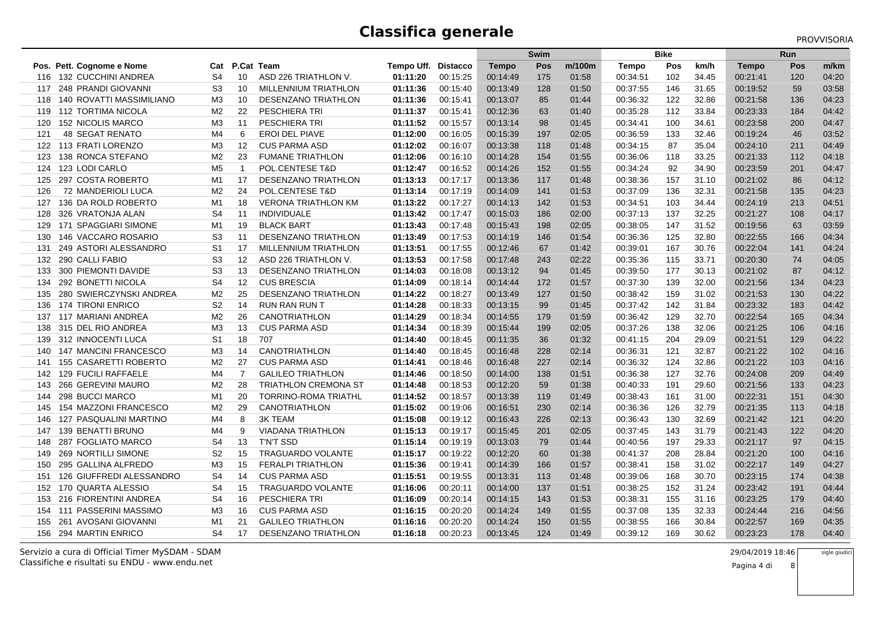PROVVISORIA

|                                        |                |                         |                             |            |                 | <b>Swim</b>  |            | <b>Bike</b> |              |     | <b>Run</b> |              |     |       |
|----------------------------------------|----------------|-------------------------|-----------------------------|------------|-----------------|--------------|------------|-------------|--------------|-----|------------|--------------|-----|-------|
| Pos. Pett. Cognome e Nome              | Cat            |                         | P.Cat Team                  | Tempo Uff. | <b>Distacco</b> | <b>Tempo</b> | <b>Pos</b> | m/100m      | <b>Tempo</b> | Pos | km/h       | <b>Tempo</b> | Pos | m/km  |
| 132 CUCCHINI ANDREA<br>116             | S <sub>4</sub> | 10                      | ASD 226 TRIATHLON V.        | 01:11:20   | 00:15:25        | 00:14:49     | 175        | 01:58       | 00:34:51     | 102 | 34.45      | 00:21:41     | 120 | 04:20 |
| 248 PRANDI GIOVANNI<br>117             | S <sub>3</sub> | 10                      | MILLENNIUM TRIATHLON        | 01:11:36   | 00:15:40        | 00:13:49     | 128        | 01:50       | 00:37:55     | 146 | 31.65      | 00:19:52     | 59  | 03:58 |
| <b>140 ROVATTI MASSIMILIANO</b><br>118 | M <sub>3</sub> | 10                      | <b>DESENZANO TRIATHLON</b>  | 01:11:36   | 00:15:41        | 00:13:07     | 85         | 01:44       | 00:36:32     | 122 | 32.86      | 00:21:58     | 136 | 04:23 |
| 112 TORTIMA NICOLA<br>119              | M <sub>2</sub> | 22                      | PESCHIERA TRI               | 01:11:37   | 00:15:41        | 00:12:36     | 63         | 01:40       | 00:35:28     | 112 | 33.84      | 00:23:33     | 184 | 04:42 |
| <b>152 NICOLIS MARCO</b><br>120        | M <sub>3</sub> | 11                      | <b>PESCHIERA TRI</b>        | 01:11:52   | 00:15:57        | 00:13:14     | 98         | 01:45       | 00:34:41     | 100 | 34.61      | 00:23:58     | 200 | 04:47 |
| <b>48 SEGAT RENATO</b><br>121          | M4             | 6                       | <b>EROI DEL PIAVE</b>       | 01:12:00   | 00:16:05        | 00:15:39     | 197        | 02:05       | 00:36:59     | 133 | 32.46      | 00:19:24     | 46  | 03:52 |
| 113 FRATI LORENZO<br>122               | M3             | 12                      | <b>CUS PARMA ASD</b>        | 01:12:02   | 00:16:07        | 00:13:38     | 118        | 01:48       | 00:34:15     | 87  | 35.04      | 00:24:10     | 211 | 04:49 |
| 138 RONCA STEFANO<br>123               | M <sub>2</sub> | 23                      | <b>FUMANE TRIATHLON</b>     | 01:12:06   | 00:16:10        | 00:14:28     | 154        | 01:55       | 00:36:06     | 118 | 33.25      | 00:21:33     | 112 | 04:18 |
| 123 LODI CARLO<br>124                  | M <sub>5</sub> | $\overline{\mathbf{1}}$ | POL.CENTESE T&D             | 01:12:47   | 00:16:52        | 00:14:26     | 152        | 01:55       | 00:34:24     | 92  | 34.90      | 00:23:59     | 201 | 04:47 |
| 297 COSTA ROBERTO<br>125               | M1             | 17                      | DESENZANO TRIATHLON         | 01:13:13   | 00:17:17        | 00:13:36     | 117        | 01:48       | 00:38:36     | 157 | 31.10      | 00:21:02     | 86  | 04:12 |
| 72 MANDERIOLI LUCA<br>126              | M <sub>2</sub> | 24                      | POL.CENTESE T&D             | 01:13:14   | 00:17:19        | 00:14:09     | 141        | 01:53       | 00:37:09     | 136 | 32.31      | 00:21:58     | 135 | 04:23 |
| 136 DA ROLD ROBERTO<br>127             | M <sub>1</sub> | 18                      | <b>VERONA TRIATHLON KM</b>  | 01:13:22   | 00:17:27        | 00:14:13     | 142        | 01:53       | 00:34:51     | 103 | 34.44      | 00:24:19     | 213 | 04:51 |
| 326 VRATONJA ALAN<br>128               | S4             | 11                      | <b>INDIVIDUALE</b>          | 01:13:42   | 00:17:47        | 00:15:03     | 186        | 02:00       | 00:37:13     | 137 | 32.25      | 00:21:27     | 108 | 04:17 |
| 171 SPAGGIARI SIMONE<br>129            | M1             | 19                      | <b>BLACK BART</b>           | 01:13:43   | 00:17:48        | 00:15:43     | 198        | 02:05       | 00:38:05     | 147 | 31.52      | 00:19:56     | 63  | 03:59 |
| 146 VACCARO ROSARIO<br>130             | S <sub>3</sub> | 11                      | <b>DESENZANO TRIATHLON</b>  | 01:13:49   | 00:17:53        | 00:14:19     | 146        | 01:54       | 00:36:36     | 125 | 32.80      | 00:22:55     | 166 | 04:34 |
| 249 ASTORI ALESSANDRO<br>131           | S <sub>1</sub> | 17                      | <b>MILLENNIUM TRIATHLON</b> | 01:13:51   | 00:17:55        | 00:12:46     | 67         | 01:42       | 00:39:01     | 167 | 30.76      | 00:22:04     | 141 | 04:24 |
| 290 CALLI FABIO<br>132                 | S <sub>3</sub> | 12                      | ASD 226 TRIATHLON V.        | 01:13:53   | 00:17:58        | 00:17:48     | 243        | 02:22       | 00:35:36     | 115 | 33.71      | 00:20:30     | 74  | 04:05 |
| 300 PIEMONTI DAVIDE<br>133             | S <sub>3</sub> | 13                      | <b>DESENZANO TRIATHLON</b>  | 01:14:03   | 00:18:08        | 00:13:12     | 94         | 01:45       | 00:39:50     | 177 | 30.13      | 00:21:02     | 87  | 04:12 |
| 292 BONETTI NICOLA<br>134              | S <sub>4</sub> | $12 \overline{ }$       | <b>CUS BRESCIA</b>          | 01:14:09   | 00:18:14        | 00:14:44     | 172        | 01:57       | 00:37:30     | 139 | 32.00      | 00:21:56     | 134 | 04:23 |
| 280 SWIERCZYNSKI ANDREA<br>135         | M <sub>2</sub> | 25                      | DESENZANO TRIATHLON         | 01:14:22   | 00:18:27        | 00:13:49     | 127        | 01:50       | 00:38:42     | 159 | 31.02      | 00:21:53     | 130 | 04:22 |
| 174 TIRONI ENRICO<br>136               | S <sub>2</sub> | 14                      | <b>RUN RAN RUN T</b>        | 01:14:28   | 00:18:33        | 00:13:15     | 99         | 01:45       | 00:37:42     | 142 | 31.84      | 00:23:32     | 183 | 04:42 |
| 117 MARIANI ANDREA<br>137              | M <sub>2</sub> | 26                      | <b>CANOTRIATHLON</b>        | 01:14:29   | 00:18:34        | 00:14:55     | 179        | 01:59       | 00:36:42     | 129 | 32.70      | 00:22:54     | 165 | 04:34 |
| 315 DEL RIO ANDREA<br>138              | M3             | 13                      | <b>CUS PARMA ASD</b>        | 01:14:34   | 00:18:39        | 00:15:44     | 199        | 02:05       | 00:37:26     | 138 | 32.06      | 00:21:25     | 106 | 04:16 |
| 312 INNOCENTI LUCA<br>139              | S <sub>1</sub> | 18                      | 707                         | 01:14:40   | 00:18:45        | 00:11:35     | 36         | 01:32       | 00:41:15     | 204 | 29.09      | 00:21:51     | 129 | 04:22 |
| <b>147 MANCINI FRANCESCO</b><br>140    | M <sub>3</sub> | 14                      | CANOTRIATHLON               | 01:14:40   | 00:18:45        | 00:16:48     | 228        | 02:14       | 00:36:31     | 121 | 32.87      | 00:21:22     | 102 | 04:16 |
| 155 CASARETTI ROBERTO<br>141           | M <sub>2</sub> | 27                      | <b>CUS PARMA ASD</b>        | 01:14:41   | 00:18:46        | 00:16:48     | 227        | 02:14       | 00:36:32     | 124 | 32.86      | 00:21:22     | 103 | 04:16 |
| <b>129 FUCILI RAFFAELE</b><br>142      | M4             | $\overline{7}$          | <b>GALILEO TRIATHLON</b>    | 01:14:46   | 00:18:50        | 00:14:00     | 138        | 01:51       | 00:36:38     | 127 | 32.76      | 00:24:08     | 209 | 04:49 |
| 266 GEREVINI MAURO<br>143              | M <sub>2</sub> | 28                      | <b>TRIATHLON CREMONA ST</b> | 01:14:48   | 00:18:53        | 00:12:20     | 59         | 01:38       | 00:40:33     | 191 | 29.60      | 00:21:56     | 133 | 04:23 |
| 298 BUCCI MARCO<br>144                 | M <sub>1</sub> | 20                      | <b>TORRINO-ROMA TRIATHL</b> | 01:14:52   | 00:18:57        | 00:13:38     | 119        | 01:49       | 00:38:43     | 161 | 31.00      | 00:22:31     | 151 | 04:30 |
| <b>154 MAZZONI FRANCESCO</b><br>145    | M <sub>2</sub> | 29                      | CANOTRIATHLON               | 01:15:02   | 00:19:06        | 00:16:51     | 230        | 02:14       | 00:36:36     | 126 | 32.79      | 00:21:35     | 113 | 04:18 |
| 127 PASQUALINI MARTINO<br>146          | M4             | 8                       | <b>3K TEAM</b>              | 01:15:08   | 00:19:12        | 00:16:43     | 226        | 02:13       | 00:36:43     | 130 | 32.69      | 00:21:42     | 121 | 04:20 |
| <b>139 BENATTI BRUNO</b><br>147        | M4             | 9                       | <b>VIADANA TRIATHLON</b>    | 01:15:13   | 00:19:17        | 00:15:45     | 201        | 02:05       | 00:37:45     | 143 | 31.79      | 00:21:43     | 122 | 04:20 |
| 287 FOGLIATO MARCO<br>148              | S <sub>4</sub> | 13                      | T'N'T SSD                   | 01:15:14   | 00:19:19        | 00:13:03     | 79         | 01:44       | 00:40:56     | 197 | 29.33      | 00:21:17     | 97  | 04:15 |
| 269 NORTILLI SIMONE<br>149             | S <sub>2</sub> | 15                      | <b>TRAGUARDO VOLANTE</b>    | 01:15:17   | 00:19:22        | 00:12:20     | 60         | 01:38       | 00:41:37     | 208 | 28.84      | 00:21:20     | 100 | 04:16 |
| 295 GALLINA ALFREDO<br>150             | M <sub>3</sub> | 15                      | <b>FERALPI TRIATHLON</b>    | 01:15:36   | 00:19:41        | 00:14:39     | 166        | 01:57       | 00:38:41     | 158 | 31.02      | 00:22:17     | 149 | 04:27 |
| 126 GIUFFREDI ALESSANDRO<br>151        | S4             | 14                      | <b>CUS PARMA ASD</b>        | 01:15:51   | 00:19:55        | 00:13:31     | 113        | 01:48       | 00:39:06     | 168 | 30.70      | 00:23:15     | 174 | 04:38 |
| 170 QUARTA ALESSIO<br>152              | S4             | 15                      | <b>TRAGUARDO VOLANTE</b>    | 01:16:06   | 00:20:11        | 00:14:00     | 137        | 01:51       | 00:38:25     | 152 | 31.24      | 00:23:42     | 191 | 04:44 |
| 216 FIORENTINI ANDREA<br>153           | S4             | 16                      | PESCHIERA TRI               | 01:16:09   | 00:20:14        | 00:14:15     | 143        | 01:53       | 00:38:31     | 155 | 31.16      | 00:23:25     | 179 | 04:40 |
| 111 PASSERINI MASSIMO<br>154           | M <sub>3</sub> | 16                      | <b>CUS PARMA ASD</b>        | 01:16:15   | 00:20:20        | 00:14:24     | 149        | 01:55       | 00:37:08     | 135 | 32.33      | 00:24:44     | 216 | 04:56 |
| 261 AVOSANI GIOVANNI<br>155            | M <sub>1</sub> | 21                      | <b>GALILEO TRIATHLON</b>    | 01:16:16   | 00:20:20        | 00:14:24     | 150        | 01:55       | 00:38:55     | 166 | 30.84      | 00:22:57     | 169 | 04:35 |
| 294 MARTIN ENRICO<br>156               | S4             | 17                      | DESENZANO TRIATHLON         | 01:16:18   | 00:20:23        | 00:13:45     | 124        | 01:49       | 00:39:12     | 169 | 30.62      | 00:23:23     | 178 | 04:40 |

Classifiche e risultati su ENDU - www.endu.netServizio a cura di Official Timer MySDAM - SDAM

 29/04/2019 18:46 sigle giudici

8

Pagina 4 di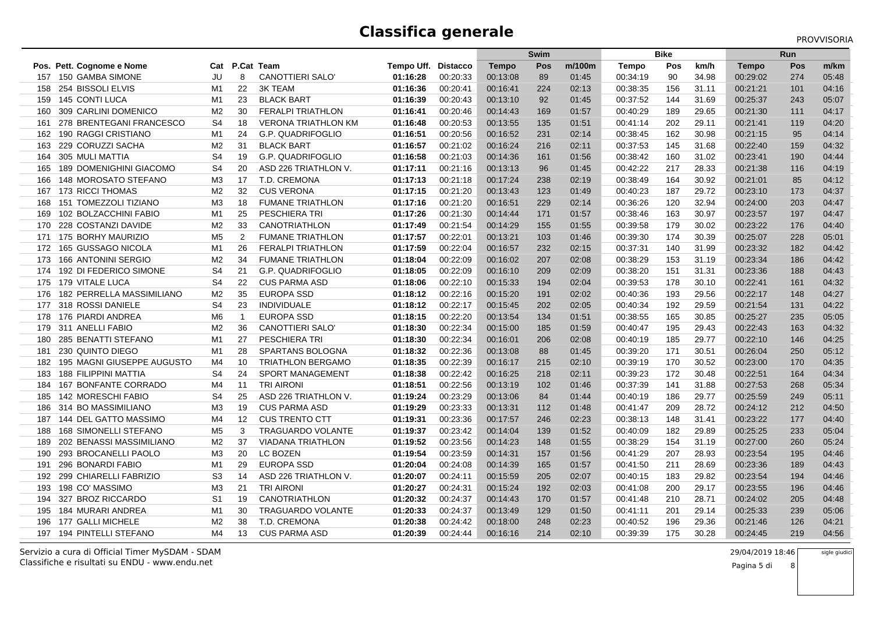PROVVISORIA

|                                         |                |                   |                            |            |                 | <b>Swim</b>  |     | <b>Bike</b> |          |     | Run   |              |     |       |
|-----------------------------------------|----------------|-------------------|----------------------------|------------|-----------------|--------------|-----|-------------|----------|-----|-------|--------------|-----|-------|
| Pos. Pett. Cognome e Nome               | Cat            |                   | P.Cat Team                 | Tempo Uff. | <b>Distacco</b> | <b>Tempo</b> | Pos | m/100m      | Tempo    | Pos | km/h  | <b>Tempo</b> | Pos | m/km  |
| 150 GAMBA SIMONE<br>157                 | JU             | 8                 | <b>CANOTTIERI SALO'</b>    | 01:16:28   | 00:20:33        | 00:13:08     | 89  | 01:45       | 00:34:19 | 90  | 34.98 | 00:29:02     | 274 | 05:48 |
| 254 BISSOLI ELVIS<br>158                | M1             | 22                | <b>3K TEAM</b>             | 01:16:36   | 00:20:41        | 00:16:41     | 224 | 02:13       | 00:38:35 | 156 | 31.11 | 00:21:21     | 101 | 04:16 |
| <b>145 CONTI LUCA</b><br>159            | M1             | 23                | <b>BLACK BART</b>          | 01:16:39   | 00:20:43        | 00:13:10     | 92  | 01:45       | 00:37:52 | 144 | 31.69 | 00:25:37     | 243 | 05:07 |
| 309 CARLINI DOMENICO<br>160             | M <sub>2</sub> | 30                | <b>FERALPI TRIATHLON</b>   | 01:16:41   | 00:20:46        | 00:14:43     | 169 | 01:57       | 00:40:29 | 189 | 29.65 | 00:21:30     | 111 | 04:17 |
| 278 BRENTEGANI FRANCESCO<br>161         | S4             | 18                | <b>VERONA TRIATHLON KM</b> | 01:16:48   | 00:20:53        | 00:13:55     | 135 | 01:51       | 00:41:14 | 202 | 29.11 | 00:21:41     | 119 | 04:20 |
| 190 RAGGI CRISTIANO<br>162              | M1             | 24                | <b>G.P. QUADRIFOGLIO</b>   | 01:16:51   | 00:20:56        | 00:16:52     | 231 | 02:14       | 00:38:45 | 162 | 30.98 | 00:21:15     | 95  | 04:14 |
| 229 CORUZZI SACHA<br>163                | M2             | 31                | <b>BLACK BART</b>          | 01:16:57   | 00:21:02        | 00:16:24     | 216 | 02:11       | 00:37:53 | 145 | 31.68 | 00:22:40     | 159 | 04:32 |
| 305 MULI MATTIA<br>164                  | S <sub>4</sub> | 19                | <b>G.P. QUADRIFOGLIO</b>   | 01:16:58   | 00:21:03        | 00:14:36     | 161 | 01:56       | 00:38:42 | 160 | 31.02 | 00:23:41     | 190 | 04:44 |
| <b>189 DOMENIGHINI GIACOMO</b><br>165   | S <sub>4</sub> | 20                | ASD 226 TRIATHLON V.       | 01:17:11   | 00:21:16        | 00:13:13     | 96  | 01:45       | 00:42:22 | 217 | 28.33 | 00:21:38     | 116 | 04:19 |
| 148 MOROSATO STEFANO<br>166             | M3             | 17                | T.D. CREMONA               | 01:17:13   | 00:21:18        | 00:17:24     | 238 | 02:19       | 00:38:49 | 164 | 30.92 | 00:21:01     | 85  | 04:12 |
| 173 RICCI THOMAS<br>167                 | M <sub>2</sub> | 32                | <b>CUS VERONA</b>          | 01:17:15   | 00:21:20        | 00:13:43     | 123 | 01:49       | 00:40:23 | 187 | 29.72 | 00:23:10     | 173 | 04:37 |
| 151 TOMEZZOLI TIZIANO<br>168            | ΜЗ             | 18                | <b>FUMANE TRIATHLON</b>    | 01:17:16   | 00:21:20        | 00:16:51     | 229 | 02:14       | 00:36:26 | 120 | 32.94 | 00:24:00     | 203 | 04:47 |
| 102 BOLZACCHINI FABIO<br>169            | M1             | 25                | PESCHIERA TRI              | 01:17:26   | 00:21:30        | 00:14:44     | 171 | 01:57       | 00:38:46 | 163 | 30.97 | 00:23:57     | 197 | 04:47 |
| 228 COSTANZI DAVIDE<br>170              | M2             | 33                | <b>CANOTRIATHLON</b>       | 01:17:49   | 00:21:54        | 00:14:29     | 155 | 01:55       | 00:39:58 | 179 | 30.02 | 00:23:22     | 176 | 04:40 |
| 175 BORHY MAURIZIO<br>171               | M <sub>5</sub> | $\overline{2}$    | <b>FUMANE TRIATHLON</b>    | 01:17:57   | 00:22:01        | 00:13:21     | 103 | 01:46       | 00:39:30 | 174 | 30.39 | 00:25:07     | 228 | 05:01 |
| 165 GUSSAGO NICOLA<br>172               | M1             | 26                | <b>FERALPI TRIATHLON</b>   | 01:17:59   | 00:22:04        | 00:16:57     | 232 | 02:15       | 00:37:31 | 140 | 31.99 | 00:23:32     | 182 | 04:42 |
| <b>166 ANTONINI SERGIO</b><br>173       | M <sub>2</sub> | 34                | <b>FUMANE TRIATHLON</b>    | 01:18:04   | 00:22:09        | 00:16:02     | 207 | 02:08       | 00:38:29 | 153 | 31.19 | 00:23:34     | 186 | 04:42 |
| 192 DI FEDERICO SIMONE<br>174           | S <sub>4</sub> | 21                | G.P. QUADRIFOGLIO          | 01:18:05   | 00:22:09        | 00:16:10     | 209 | 02:09       | 00:38:20 | 151 | 31.31 | 00:23:36     | 188 | 04:43 |
| 179 VITALE LUCA<br>175                  | S4             | 22                | <b>CUS PARMA ASD</b>       | 01:18:06   | 00:22:10        | 00:15:33     | 194 | 02:04       | 00:39:53 | 178 | 30.10 | 00:22:41     | 161 | 04:32 |
| <b>182 PERRELLA MASSIMILIANO</b><br>176 | M <sub>2</sub> | 35                | <b>EUROPA SSD</b>          | 01:18:12   | 00:22:16        | 00:15:20     | 191 | 02:02       | 00:40:36 | 193 | 29.56 | 00:22:17     | 148 | 04:27 |
| 318 ROSSI DANIELE<br>177                | S <sub>4</sub> | 23                | <b>INDIVIDUALE</b>         | 01:18:12   | 00:22:17        | 00:15:45     | 202 | 02:05       | 00:40:34 | 192 | 29.59 | 00:21:54     | 131 | 04:22 |
| 176 PIARDI ANDREA<br>178                | M <sub>6</sub> | $\mathbf{1}$      | <b>EUROPA SSD</b>          | 01:18:15   | 00:22:20        | 00:13:54     | 134 | 01:51       | 00:38:55 | 165 | 30.85 | 00:25:27     | 235 | 05:05 |
| 311 ANELLI FABIO<br>179                 | M2             | 36                | <b>CANOTTIERI SALO'</b>    | 01:18:30   | 00:22:34        | 00:15:00     | 185 | 01:59       | 00:40:47 | 195 | 29.43 | 00:22:43     | 163 | 04:32 |
| 285 BENATTI STEFANO<br>180              | M1             | 27                | <b>PESCHIERA TRI</b>       | 01:18:30   | 00:22:34        | 00:16:01     | 206 | 02:08       | 00:40:19 | 185 | 29.77 | 00:22:10     | 146 | 04:25 |
| 230 QUINTO DIEGO<br>181                 | M1             | 28                | SPARTANS BOLOGNA           | 01:18:32   | 00:22:36        | 00:13:08     | 88  | 01:45       | 00:39:20 | 171 | 30.51 | 00:26:04     | 250 | 05:12 |
| 195 MAGNI GIUSEPPE AUGUSTO<br>182       | M4             | 10                | <b>TRIATHLON BERGAMO</b>   | 01:18:35   | 00:22:39        | 00:16:17     | 215 | 02:10       | 00:39:19 | 170 | 30.52 | 00:23:00     | 170 | 04:35 |
| <b>188 FILIPPINI MATTIA</b><br>183      | S <sub>4</sub> | 24                | <b>SPORT MANAGEMENT</b>    | 01:18:38   | 00:22:42        | 00:16:25     | 218 | 02:11       | 00:39:23 | 172 | 30.48 | 00:22:51     | 164 | 04:34 |
| 167 BONFANTE CORRADO<br>184             | M4             | 11                | <b>TRI AIRONI</b>          | 01:18:51   | 00:22:56        | 00:13:19     | 102 | 01:46       | 00:37:39 | 141 | 31.88 | 00:27:53     | 268 | 05:34 |
| <b>142 MORESCHI FABIO</b><br>185        | S <sub>4</sub> | 25                | ASD 226 TRIATHLON V.       | 01:19:24   | 00:23:29        | 00:13:06     | 84  | 01:44       | 00:40:19 | 186 | 29.77 | 00:25:59     | 249 | 05:11 |
| 314 BO MASSIMILIANO<br>186              | M3             | 19                | <b>CUS PARMA ASD</b>       | 01:19:29   | 00:23:33        | 00:13:31     | 112 | 01:48       | 00:41:47 | 209 | 28.72 | 00:24:12     | 212 | 04:50 |
| 144 DEL GATTO MASSIMO<br>187            | M4             | $12 \overline{ }$ | <b>CUS TRENTO CTT</b>      | 01:19:31   | 00:23:36        | 00:17:57     | 246 | 02:23       | 00:38:13 | 148 | 31.41 | 00:23:22     | 177 | 04:40 |
| <b>168 SIMONELLI STEFANO</b><br>188     | M5             | 3                 | <b>TRAGUARDO VOLANTE</b>   | 01:19:37   | 00:23:42        | 00:14:04     | 139 | 01:52       | 00:40:09 | 182 | 29.89 | 00:25:25     | 233 | 05:04 |
| 202 BENASSI MASSIMILIANO<br>189         | M <sub>2</sub> | 37                | <b>VIADANA TRIATHLON</b>   | 01:19:52   | 00:23:56        | 00:14:23     | 148 | 01:55       | 00:38:29 | 154 | 31.19 | 00:27:00     | 260 | 05:24 |
| 293 BROCANELLI PAOLO<br>190             | M3             | 20                | <b>LC BOZEN</b>            | 01:19:54   | 00:23:59        | 00:14:31     | 157 | 01:56       | 00:41:29 | 207 | 28.93 | 00:23:54     | 195 | 04:46 |
| 296 BONARDI FABIO<br>191                | M1             | 29                | <b>EUROPA SSD</b>          | 01:20:04   | 00:24:08        | 00:14:39     | 165 | 01:57       | 00:41:50 | 211 | 28.69 | 00:23:36     | 189 | 04:43 |
| 299 CHIARELLI FABRIZIO<br>192           | S <sub>3</sub> | 14                | ASD 226 TRIATHLON V.       | 01:20:07   | 00:24:11        | 00:15:59     | 205 | 02:07       | 00:40:15 | 183 | 29.82 | 00:23:54     | 194 | 04:46 |
| 198 CO' MASSIMO<br>193                  | M3             | 21                | <b>TRI AIRONI</b>          | 01:20:27   | 00:24:31        | 00:15:24     | 192 | 02:03       | 00:41:08 | 200 | 29.17 | 00:23:55     | 196 | 04:46 |
| 327 BROZ RICCARDO<br>194                | S <sub>1</sub> | 19                | CANOTRIATHLON              | 01:20:32   | 00:24:37        | 00:14:43     | 170 | 01:57       | 00:41:48 | 210 | 28.71 | 00:24:02     | 205 | 04:48 |
| 184 MURARI ANDREA<br>195                | M1             | 30                | <b>TRAGUARDO VOLANTE</b>   | 01:20:33   | 00:24:37        | 00:13:49     | 129 | 01:50       | 00:41:11 | 201 | 29.14 | 00:25:33     | 239 | 05:06 |
| 177 GALLI MICHELE<br>196                | M <sub>2</sub> | 38                | T.D. CREMONA               | 01:20:38   | 00:24:42        | 00:18:00     | 248 | 02:23       | 00:40:52 | 196 | 29.36 | 00:21:46     | 126 | 04:21 |
| 194 PINTELLI STEFANO<br>197             | M4             | 13                | <b>CUS PARMA ASD</b>       | 01:20:39   | 00:24:44        | 00:16:16     | 214 | 02:10       | 00:39:39 | 175 | 30.28 | 00:24:45     | 219 | 04:56 |

Classifiche e risultati su ENDU - www.endu.netServizio a cura di Official Timer MySDAM - SDAM

 29/04/2019 18:46 sigle giudici

8

Pagina 5 di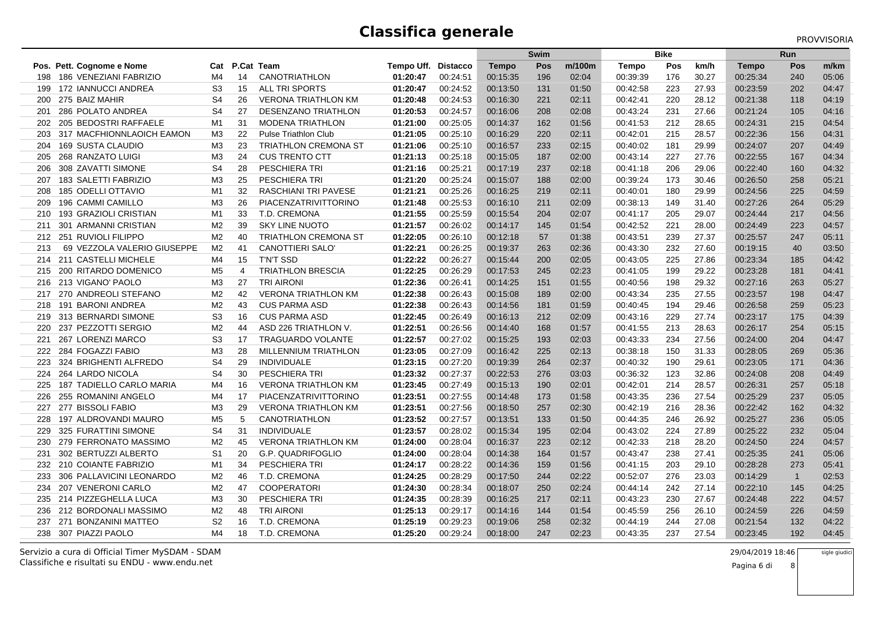PROVVISORIA

|     |                             |                |       |                             |            |                 | <b>Swim</b>  |     | <b>Bike</b> |          |     | Run   |              |                |       |
|-----|-----------------------------|----------------|-------|-----------------------------|------------|-----------------|--------------|-----|-------------|----------|-----|-------|--------------|----------------|-------|
|     | Pos. Pett. Cognome e Nome   | Cat            | P.Cat | Team                        | Tempo Uff. | <b>Distacco</b> | <b>Tempo</b> | Pos | m/100m      | Tempo    | Pos | km/h  | <b>Tempo</b> | Pos            | m/km  |
| 198 | 186 VENEZIANI FABRIZIO      | M4             | 14    | <b>CANOTRIATHLON</b>        | 01:20:47   | 00:24:51        | 00:15:35     | 196 | 02:04       | 00:39:39 | 176 | 30.27 | 00:25:34     | 240            | 05:06 |
| 199 | 172 IANNUCCI ANDREA         | S <sub>3</sub> | 15    | <b>ALL TRI SPORTS</b>       | 01:20:47   | 00:24:52        | 00:13:50     | 131 | 01:50       | 00:42:58 | 223 | 27.93 | 00:23:59     | 202            | 04:47 |
| 200 | 275 BAIZ MAHIR              | S <sub>4</sub> | 26    | <b>VERONA TRIATHLON KM</b>  | 01:20:48   | 00:24:53        | 00:16:30     | 221 | 02:11       | 00:42:41 | 220 | 28.12 | 00:21:38     | 118            | 04:19 |
| 201 | 286 POLATO ANDREA           | S4             | 27    | <b>DESENZANO TRIATHLON</b>  | 01:20:53   | 00:24:57        | 00:16:06     | 208 | 02:08       | 00:43:24 | 231 | 27.66 | 00:21:24     | 105            | 04:16 |
| 202 | 205 BEDOSTRI RAFFAELE       | M1             | 31    | <b>MODENA TRIATHLON</b>     | 01:21:00   | 00:25:05        | 00:14:37     | 162 | 01:56       | 00:41:53 | 212 | 28.65 | 00:24:31     | 215            | 04:54 |
| 203 | 317 MACFHIONNLAOICH EAMON   | M <sub>3</sub> | 22    | <b>Pulse Triathlon Club</b> | 01:21:05   | 00:25:10        | 00:16:29     | 220 | 02:11       | 00:42:01 | 215 | 28.57 | 00:22:36     | 156            | 04:31 |
| 204 | <b>169 SUSTA CLAUDIO</b>    | M <sub>3</sub> | 23    | <b>TRIATHLON CREMONA ST</b> | 01:21:06   | 00:25:10        | 00:16:57     | 233 | 02:15       | 00:40:02 | 181 | 29.99 | 00:24:07     | 207            | 04:49 |
| 205 | 268 RANZATO LUIGI           | M <sub>3</sub> | 24    | <b>CUS TRENTO CTT</b>       | 01:21:13   | 00:25:18        | 00:15:05     | 187 | 02:00       | 00:43:14 | 227 | 27.76 | 00:22:55     | 167            | 04:34 |
| 206 | 308 ZAVATTI SIMONE          | S <sub>4</sub> | 28    | PESCHIERA TRI               | 01:21:16   | 00:25:21        | 00:17:19     | 237 | 02:18       | 00:41:18 | 206 | 29.06 | 00:22:40     | 160            | 04:32 |
| 207 | 183 SALETTI FABRIZIO        | M <sub>3</sub> | 25    | PESCHIERA TRI               | 01:21:20   | 00:25:24        | 00:15:07     | 188 | 02:00       | 00:39:24 | 173 | 30.46 | 00:26:50     | 258            | 05:21 |
| 208 | 185 ODELLI OTTAVIO          | M1             | 32    | RASCHIANI TRI PAVESE        | 01:21:21   | 00:25:26        | 00:16:25     | 219 | 02:11       | 00:40:01 | 180 | 29.99 | 00:24:56     | 225            | 04:59 |
| 209 | 196 CAMMI CAMILLO           | M <sub>3</sub> | 26    | PIACENZATRIVITTORINO        | 01:21:48   | 00:25:53        | 00:16:10     | 211 | 02:09       | 00:38:13 | 149 | 31.40 | 00:27:26     | 264            | 05:29 |
| 210 | 193 GRAZIOLI CRISTIAN       | M1             | 33    | T.D. CREMONA                | 01:21:55   | 00:25:59        | 00:15:54     | 204 | 02:07       | 00:41:17 | 205 | 29.07 | 00:24:44     | 217            | 04:56 |
| 211 | 301 ARMANNI CRISTIAN        | M <sub>2</sub> | 39    | <b>SKY LINE NUOTO</b>       | 01:21:57   | 00:26:02        | 00:14:17     | 145 | 01:54       | 00:42:52 | 221 | 28.00 | 00:24:49     | 223            | 04:57 |
| 212 | 251 RUVIOLI FILIPPO         | M <sub>2</sub> | 40    | <b>TRIATHLON CREMONA ST</b> | 01:22:05   | 00:26:10        | 00:12:18     | 57  | 01:38       | 00:43:51 | 239 | 27.37 | 00:25:57     | 247            | 05:11 |
| 213 | 69 VEZZOLA VALERIO GIUSEPPE | M <sub>2</sub> | 41    | <b>CANOTTIERI SALO</b>      | 01:22:21   | 00:26:25        | 00:19:37     | 263 | 02:36       | 00:43:30 | 232 | 27.60 | 00:19:15     | 40             | 03:50 |
| 214 | 211 CASTELLI MICHELE        | M4             | 15    | T'N'T SSD                   | 01:22:22   | 00:26:27        | 00:15:44     | 200 | 02:05       | 00:43:05 | 225 | 27.86 | 00:23:34     | 185            | 04:42 |
| 215 | 200 RITARDO DOMENICO        | M <sub>5</sub> | 4     | <b>TRIATHLON BRESCIA</b>    | 01:22:25   | 00:26:29        | 00:17:53     | 245 | 02:23       | 00:41:05 | 199 | 29.22 | 00:23:28     | 181            | 04:41 |
| 216 | 213 VIGANO' PAOLO           | M3             | 27    | <b>TRI AIRONI</b>           | 01:22:36   | 00:26:41        | 00:14:25     | 151 | 01:55       | 00:40:56 | 198 | 29.32 | 00:27:16     | 263            | 05:27 |
| 217 | 270 ANDREOLI STEFANO        | M <sub>2</sub> | 42    | <b>VERONA TRIATHLON KM</b>  | 01:22:38   | 00:26:43        | 00:15:08     | 189 | 02:00       | 00:43:34 | 235 | 27.55 | 00:23:57     | 198            | 04:47 |
| 218 | 191 BARONI ANDREA           | M2             | 43    | <b>CUS PARMA ASD</b>        | 01:22:38   | 00:26:43        | 00:14:56     | 181 | 01:59       | 00:40:45 | 194 | 29.46 | 00:26:58     | 259            | 05:23 |
| 219 | 313 BERNARDI SIMONE         | S <sub>3</sub> | 16    | <b>CUS PARMA ASD</b>        | 01:22:45   | 00:26:49        | 00:16:13     | 212 | 02:09       | 00:43:16 | 229 | 27.74 | 00:23:17     | 175            | 04:39 |
| 220 | 237 PEZZOTTI SERGIO         | M <sub>2</sub> | 44    | ASD 226 TRIATHLON V.        | 01:22:51   | 00:26:56        | 00:14:40     | 168 | 01:57       | 00:41:55 | 213 | 28.63 | 00:26:17     | 254            | 05:15 |
| 221 | 267 LORENZI MARCO           | S <sub>3</sub> | 17    | <b>TRAGUARDO VOLANTE</b>    | 01:22:57   | 00:27:02        | 00:15:25     | 193 | 02:03       | 00:43:33 | 234 | 27.56 | 00:24:00     | 204            | 04:47 |
| 222 | 284 FOGAZZI FABIO           | M <sub>3</sub> | 28    | <b>MILLENNIUM TRIATHLON</b> | 01:23:05   | 00:27:09        | 00:16:42     | 225 | 02:13       | 00:38:18 | 150 | 31.33 | 00:28:05     | 269            | 05:36 |
| 223 | 324 BRIGHENTI ALFREDO       | S <sub>4</sub> | 29    | <b>INDIVIDUALE</b>          | 01:23:15   | 00:27:20        | 00:19:39     | 264 | 02:37       | 00:40:32 | 190 | 29.61 | 00:23:05     | 171            | 04:36 |
| 224 | 264 LARDO NICOLA            | S4             | 30    | <b>PESCHIERA TRI</b>        | 01:23:32   | 00:27:37        | 00:22:53     | 276 | 03:03       | 00:36:32 | 123 | 32.86 | 00:24:08     | 208            | 04:49 |
| 225 | 187 TADIELLO CARLO MARIA    | M4             | 16    | <b>VERONA TRIATHLON KM</b>  | 01:23:45   | 00:27:49        | 00:15:13     | 190 | 02:01       | 00:42:01 | 214 | 28.57 | 00:26:31     | 257            | 05:18 |
| 226 | 255 ROMANINI ANGELO         | M4             | 17    | <b>PIACENZATRIVITTORINO</b> | 01:23:51   | 00:27:55        | 00:14:48     | 173 | 01:58       | 00:43:35 | 236 | 27.54 | 00:25:29     | 237            | 05:05 |
| 227 | 277 BISSOLI FABIO           | M3             | 29    | <b>VERONA TRIATHLON KM</b>  | 01:23:51   | 00:27:56        | 00:18:50     | 257 | 02:30       | 00:42:19 | 216 | 28.36 | 00:22:42     | 162            | 04:32 |
| 228 | 197 ALDROVANDI MAURO        | M <sub>5</sub> | 5     | CANOTRIATHLON               | 01:23:52   | 00:27:57        | 00:13:51     | 133 | 01:50       | 00:44:35 | 246 | 26.92 | 00:25:27     | 236            | 05:05 |
| 229 | 325 FURATTINI SIMONE        | S <sub>4</sub> | 31    | <b>INDIVIDUALE</b>          | 01:23:57   | 00:28:02        | 00:15:34     | 195 | 02:04       | 00:43:02 | 224 | 27.89 | 00:25:22     | 232            | 05:04 |
| 230 | 279 FERRONATO MASSIMO       | M <sub>2</sub> | 45    | <b>VERONA TRIATHLON KM</b>  | 01:24:00   | 00:28:04        | 00:16:37     | 223 | 02:12       | 00:42:33 | 218 | 28.20 | 00:24:50     | 224            | 04:57 |
| 231 | 302 BERTUZZI ALBERTO        | S <sub>1</sub> | 20    | G.P. QUADRIFOGLIO           | 01:24:00   | 00:28:04        | 00:14:38     | 164 | 01:57       | 00:43:47 | 238 | 27.41 | 00:25:35     | 241            | 05:06 |
| 232 | 210 COIANTE FABRIZIO        | M1             | 34    | <b>PESCHIERA TRI</b>        | 01:24:17   | 00:28:22        | 00:14:36     | 159 | 01:56       | 00:41:15 | 203 | 29.10 | 00:28:28     | 273            | 05:41 |
| 233 | 306 PALLAVICINI LEONARDO    | M <sub>2</sub> | 46    | T.D. CREMONA                | 01:24:25   | 00:28:29        | 00:17:50     | 244 | 02:22       | 00:52:07 | 276 | 23.03 | 00:14:29     | $\overline{1}$ | 02:53 |
| 234 | 207 VENERONI CARLO          | M <sub>2</sub> | 47    | <b>COOPERATORI</b>          | 01:24:30   | 00:28:34        | 00:18:07     | 250 | 02:24       | 00:44:14 | 242 | 27.14 | 00:22:10     | 145            | 04:25 |
| 235 | 214 PIZZEGHELLA LUCA        | M <sub>3</sub> | 30    | <b>PESCHIERA TRI</b>        | 01:24:35   | 00:28:39        | 00:16:25     | 217 | 02:11       | 00:43:23 | 230 | 27.67 | 00:24:48     | 222            | 04:57 |
| 236 | 212 BORDONALI MASSIMO       | M <sub>2</sub> | 48    | <b>TRI AIRONI</b>           | 01:25:13   | 00:29:17        | 00:14:16     | 144 | 01:54       | 00:45:59 | 256 | 26.10 | 00:24:59     | 226            | 04:59 |
| 237 | 271 BONZANINI MATTEO        | S <sub>2</sub> | 16    | T.D. CREMONA                | 01:25:19   | 00:29:23        | 00:19:06     | 258 | 02:32       | 00:44:19 | 244 | 27.08 | 00:21:54     | 132            | 04:22 |
| 238 | 307 PIAZZI PAOLO            | M4             | 18    | T.D. CREMONA                | 01:25:20   | 00:29:24        | 00:18:00     | 247 | 02:23       | 00:43:35 | 237 | 27.54 | 00:23:45     | 192            | 04:45 |

Classifiche e risultati su ENDU - www.endu.netServizio a cura di Official Timer MySDAM - SDAM

 29/04/2019 18:46 sigle giudici

8

Pagina 6 di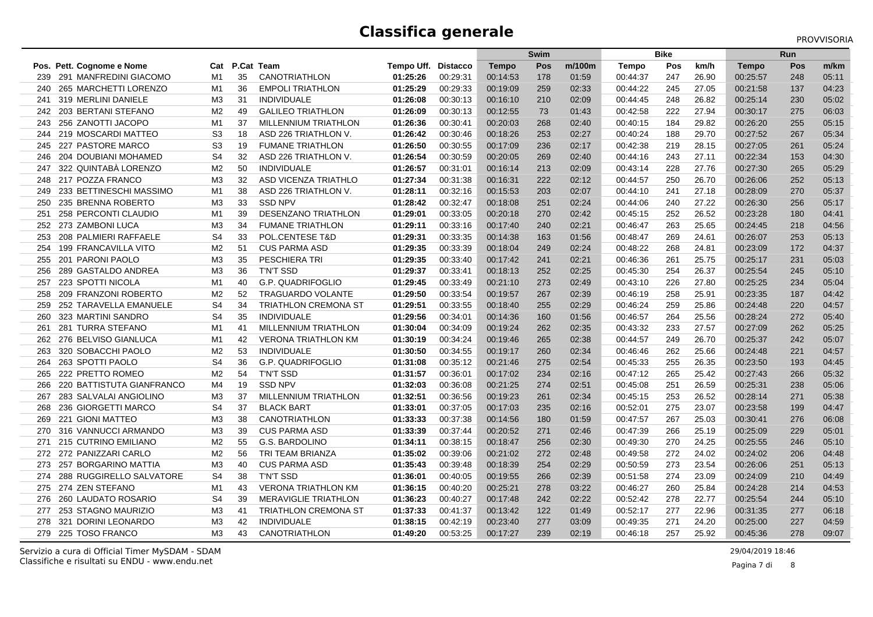PROVVISORIA

|                                |                                 |    |                             |            |                 | <b>Swim</b>  |            | <b>Bike</b> |              |     | <b>Run</b> |              |     |       |
|--------------------------------|---------------------------------|----|-----------------------------|------------|-----------------|--------------|------------|-------------|--------------|-----|------------|--------------|-----|-------|
| Pos. Pett. Cognome e Nome      | Cat                             |    | P.Cat Team                  | Tempo Uff. | <b>Distacco</b> | <b>Tempo</b> | <b>Pos</b> | m/100m      | <b>Tempo</b> | Pos | km/h       | <b>Tempo</b> | Pos | m/km  |
| 291 MANFREDINI GIACOMO<br>239  | M1                              | 35 | <b>CANOTRIATHLON</b>        | 01:25:26   | 00:29:31        | 00:14:53     | 178        | 01:59       | 00:44:37     | 247 | 26.90      | 00:25:57     | 248 | 05:11 |
| 265 MARCHETTI LORENZO<br>240   | M1                              | 36 | <b>EMPOLI TRIATHLON</b>     | 01:25:29   | 00:29:33        | 00:19:09     | 259        | 02:33       | 00:44:22     | 245 | 27.05      | 00:21:58     | 137 | 04:23 |
| 319 MERLINI DANIELE<br>241     | M3                              | 31 | <b>INDIVIDUALE</b>          | 01:26:08   | 00:30:13        | 00:16:10     | 210        | 02:09       | 00:44:45     | 248 | 26.82      | 00:25:14     | 230 | 05:02 |
| 203 BERTANI STEFANO<br>242     | M <sub>2</sub>                  | 49 | <b>GALILEO TRIATHLON</b>    | 01:26:09   | 00:30:13        | 00:12:55     | 73         | 01:43       | 00:42:58     | 222 | 27.94      | 00:30:17     | 275 | 06:03 |
| 256 ZANOTTI JACOPO<br>243      | M1                              | 37 | <b>MILLENNIUM TRIATHLON</b> | 01:26:36   | 00:30:41        | 00:20:03     | 268        | 02:40       | 00:40:15     | 184 | 29.82      | 00:26:20     | 255 | 05:15 |
| 219 MOSCARDI MATTEO<br>244     | S <sub>3</sub>                  | 18 | ASD 226 TRIATHLON V.        | 01:26:42   | 00:30:46        | 00:18:26     | 253        | 02:27       | 00:40:24     | 188 | 29.70      | 00:27:52     | 267 | 05:34 |
| 227 PASTORE MARCO<br>245       | S <sub>3</sub>                  | 19 | <b>FUMANE TRIATHLON</b>     | 01:26:50   | 00:30:55        | 00:17:09     | 236        | 02:17       | 00:42:38     | 219 | 28.15      | 00:27:05     | 261 | 05:24 |
| 204 DOUBIANI MOHAMED<br>246    | S <sub>4</sub>                  | 32 | ASD 226 TRIATHLON V.        | 01:26:54   | 00:30:59        | 00:20:05     | 269        | 02:40       | 00:44:16     | 243 | 27.11      | 00:22:34     | 153 | 04:30 |
| 322 QUINTABÀ LORENZO<br>247    | M <sub>2</sub>                  | 50 | <b>INDIVIDUALE</b>          | 01:26:57   | 00:31:01        | 00:16:14     | 213        | 02:09       | 00:43:14     | 228 | 27.76      | 00:27:30     | 265 | 05:29 |
| 217 POZZA FRANCO<br>248        | M <sub>3</sub>                  | 32 | ASD VICENZA TRIATHLO        | 01:27:34   | 00:31:38        | 00:16:31     | 222        | 02:12       | 00:44:57     | 250 | 26.70      | 00:26:06     | 252 | 05:13 |
| 233 BETTINESCHI MASSIMO<br>249 | M <sub>1</sub>                  | 38 | ASD 226 TRIATHLON V.        | 01:28:11   | 00:32:16        | 00:15:53     | 203        | 02:07       | 00:44:10     | 241 | 27.18      | 00:28:09     | 270 | 05:37 |
| 235 BRENNA ROBERTO<br>250      | M3                              | 33 | <b>SSD NPV</b>              | 01:28:42   | 00:32:47        | 00:18:08     | 251        | 02:24       | 00:44:06     | 240 | 27.22      | 00:26:30     | 256 | 05:17 |
| 258 PERCONTI CLAUDIO<br>251    | M1                              | 39 | DESENZANO TRIATHLON         | 01:29:01   | 00:33:05        | 00:20:18     | 270        | 02:42       | 00:45:15     | 252 | 26.52      | 00:23:28     | 180 | 04:41 |
| 273 ZAMBONI LUCA<br>252        | M <sub>3</sub>                  | 34 | <b>FUMANE TRIATHLON</b>     | 01:29:11   | 00:33:16        | 00:17:40     | 240        | 02:21       | 00:46:47     | 263 | 25.65      | 00:24:45     | 218 | 04:56 |
| 208 PALMIERI RAFFAELE<br>253   | S <sub>4</sub>                  | 33 | POL.CENTESE T&D             | 01:29:31   | 00:33:35        | 00:14:38     | 163        | 01:56       | 00:48:47     | 269 | 24.61      | 00:26:07     | 253 | 05:13 |
| 199 FRANCAVILLA VITO<br>254    | M <sub>2</sub>                  | 51 | <b>CUS PARMA ASD</b>        | 01:29:35   | 00:33:39        | 00:18:04     | 249        | 02:24       | 00:48:22     | 268 | 24.81      | 00:23:09     | 172 | 04:37 |
| 201 PARONI PAOLO<br>255        | M <sub>3</sub>                  | 35 | PESCHIERA TRI               | 01:29:35   | 00:33:40        | 00:17:42     | 241        | 02:21       | 00:46:36     | 261 | 25.75      | 00:25:17     | 231 | 05:03 |
| 289 GASTALDO ANDREA<br>256     | M <sub>3</sub>                  | 36 | T'N'T SSD                   | 01:29:37   | 00:33:41        | 00:18:13     | 252        | 02:25       | 00:45:30     | 254 | 26.37      | 00:25:54     | 245 | 05:10 |
| 223 SPOTTI NICOLA<br>257       | M1                              | 40 | <b>G.P. QUADRIFOGLIO</b>    | 01:29:45   | 00:33:49        | 00:21:10     | 273        | 02:49       | 00:43:10     | 226 | 27.80      | 00:25:25     | 234 | 05:04 |
| 209 FRANZONI ROBERTO<br>258    | M <sub>2</sub>                  | 52 | <b>TRAGUARDO VOLANTE</b>    | 01:29:50   | 00:33:54        | 00:19:57     | 267        | 02:39       | 00:46:19     | 258 | 25.91      | 00:23:35     | 187 | 04:42 |
| 252 TARAVELLA EMANUELE<br>259  | S <sub>4</sub>                  | 34 | <b>TRIATHLON CREMONA ST</b> | 01:29:51   | 00:33:55        | 00:18:40     | 255        | 02:29       | 00:46:24     | 259 | 25.86      | 00:24:48     | 220 | 04:57 |
| 323 MARTINI SANDRO<br>260      | S <sub>4</sub>                  | 35 | <b>INDIVIDUALE</b>          | 01:29:56   | 00:34:01        | 00:14:36     | 160        | 01:56       | 00:46:57     | 264 | 25.56      | 00:28:24     | 272 | 05:40 |
| 281 TURRA STEFANO<br>261       | M1                              | 41 | MILLENNIUM TRIATHLON        | 01:30:04   | 00:34:09        | 00:19:24     | 262        | 02:35       | 00:43:32     | 233 | 27.57      | 00:27:09     | 262 | 05:25 |
| 276 BELVISO GIANLUCA<br>262    | M <sub>1</sub>                  | 42 | <b>VERONA TRIATHLON KM</b>  | 01:30:19   | 00:34:24        | 00:19:46     | 265        | 02:38       | 00:44:57     | 249 | 26.70      | 00:25:37     | 242 | 05:07 |
| 320 SOBACCHI PAOLO<br>263      | M <sub>2</sub>                  | 53 | <b>INDIVIDUALE</b>          | 01:30:50   | 00:34:55        | 00:19:17     | 260        | 02:34       | 00:46:46     | 262 | 25.66      | 00:24:48     | 221 | 04:57 |
| 263 SPOTTI PAOLO<br>264        | S <sub>4</sub>                  | 36 | <b>G.P. QUADRIFOGLIO</b>    | 01:31:08   | 00:35:12        | 00:21:46     | 275        | 02:54       | 00:45:33     | 255 | 26.35      | 00:23:50     | 193 | 04:45 |
| 222 PRETTO ROMEO<br>265        | M <sub>2</sub>                  | 54 | T'N'T SSD                   | 01:31:57   | 00:36:01        | 00:17:02     | 234        | 02:16       | 00:47:12     | 265 | 25.42      | 00:27:43     | 266 | 05:32 |
| 266                            | 220 BATTISTUTA GIANFRANCO<br>M4 | 19 | <b>SSD NPV</b>              | 01:32:03   | 00:36:08        | 00:21:25     | 274        | 02:51       | 00:45:08     | 251 | 26.59      | 00:25:31     | 238 | 05:06 |
| 283 SALVALAI ANGIOLINO<br>267  | M <sub>3</sub>                  | 37 | <b>MILLENNIUM TRIATHLON</b> | 01:32:51   | 00:36:56        | 00:19:23     | 261        | 02:34       | 00:45:15     | 253 | 26.52      | 00:28:14     | 271 | 05:38 |
| 236 GIORGETTI MARCO<br>268     | S4                              | 37 | <b>BLACK BART</b>           | 01:33:01   | 00:37:05        | 00:17:03     | 235        | 02:16       | 00:52:01     | 275 | 23.07      | 00:23:58     | 199 | 04:47 |
| 221 GIONI MATTEO<br>269        | M3                              | 38 | <b>CANOTRIATHLON</b>        | 01:33:33   | 00:37:38        | 00:14:56     | 180        | 01:59       | 00:47:57     | 267 | 25.03      | 00:30:41     | 276 | 06:08 |
| 316 VANNUCCI ARMANDO<br>270    | M3                              | 39 | <b>CUS PARMA ASD</b>        | 01:33:39   | 00:37:44        | 00:20:52     | 271        | 02:46       | 00:47:39     | 266 | 25.19      | 00:25:09     | 229 | 05:01 |
| 215 CUTRINO EMILIANO<br>271    | M <sub>2</sub>                  | 55 | <b>G.S. BARDOLINO</b>       | 01:34:11   | 00:38:15        | 00:18:47     | 256        | 02:30       | 00:49:30     | 270 | 24.25      | 00:25:55     | 246 | 05:10 |
| 272 PANIZZARI CARLO<br>272     | M <sub>2</sub>                  | 56 | TRI TEAM BRIANZA            | 01:35:02   | 00:39:06        | 00:21:02     | 272        | 02:48       | 00:49:58     | 272 | 24.02      | 00:24:02     | 206 | 04:48 |
| 257 BORGARINO MATTIA<br>273    | M <sub>3</sub>                  | 40 | <b>CUS PARMA ASD</b>        | 01:35:43   | 00:39:48        | 00:18:39     | 254        | 02:29       | 00:50:59     | 273 | 23.54      | 00:26:06     | 251 | 05:13 |
| 274                            | 288 RUGGIRELLO SALVATORE<br>S4  | 38 | T'N'T SSD                   | 01:36:01   | 00:40:05        | 00:19:55     | 266        | 02:39       | 00:51:58     | 274 | 23.09      | 00:24:09     | 210 | 04:49 |
| 274 ZEN STEFANO<br>275         | M1                              | 43 | <b>VERONA TRIATHLON KM</b>  | 01:36:15   | 00:40:20        | 00:25:21     | 278        | 03:22       | 00:46:27     | 260 | 25.84      | 00:24:28     | 214 | 04:53 |
| 260 LAUDATO ROSARIO<br>276     | S <sub>4</sub>                  | 39 | <b>MERAVIGLIE TRIATHLON</b> | 01:36:23   | 00:40:27        | 00:17:48     | 242        | 02:22       | 00:52:42     | 278 | 22.77      | 00:25:54     | 244 | 05:10 |
| 253 STAGNO MAURIZIO<br>277     | M <sub>3</sub>                  | 41 | <b>TRIATHLON CREMONA ST</b> | 01:37:33   | 00:41:37        | 00:13:42     | 122        | 01:49       | 00:52:17     | 277 | 22.96      | 00:31:35     | 277 | 06:18 |
| 321 DORINI LEONARDO<br>278     | M <sub>3</sub>                  | 42 | <b>INDIVIDUALE</b>          | 01:38:15   | 00:42:19        | 00:23:40     | 277        | 03:09       | 00:49:35     | 271 | 24.20      | 00:25:00     | 227 | 04:59 |
| 279 225 TOSO FRANCO            | M <sub>3</sub>                  | 43 | CANOTRIATHLON               | 01:49:20   | 00:53:25        | 00:17:27     | 239        | 02:19       | 00:46:18     | 257 | 25.92      | 00:45:36     | 278 | 09:07 |

Servizio a cura di Official Timer MySDAM - SDAMClassifiche e risultati su ENDU - www.endu.net

29/04/2019 18:46

 Pagina 7 diPagina 7 di 8